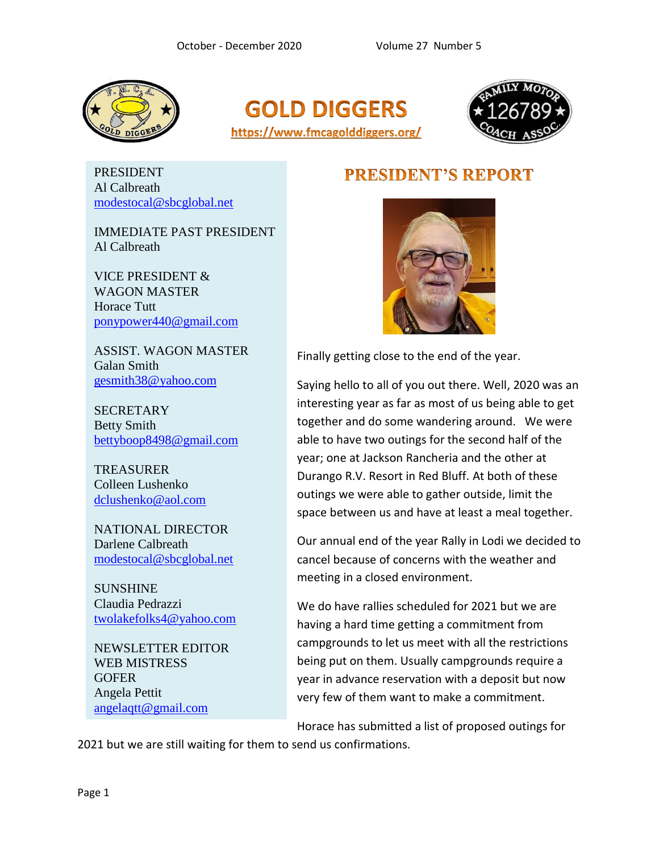





PRESIDENT Al Calbreath [modestocal@sbcglobal.net](file:///F:/Desktop/FMCA/Newsletters/modestocal@sbcglobal.net)

IMMEDIATE PAST PRESIDENT Al Calbreath

VICE PRESIDENT & WAGON MASTER Horace Tutt [ponypower440@gmail.com](mailto:ponypower440@gmail.com)

ASSIST. WAGON MASTER Galan Smith [gesmith38@yahoo.com](mailto:gesmith38@yahoo.com)

**SECRETARY** Betty Smith [bettyboop8498@gmail.com](mailto:bettyboop8498@gmail.com)

**TREASURER** Colleen Lushenko [dclushenko@aol.com](mailto:dclushenko@aol.com)

NATIONAL DIRECTOR Darlene Calbreath [modestocal@sbcglobal.net](mailto:modestocal@sbcglobal.net)

**SUNSHINE** Claudia Pedrazzi [twolakefolks4@yahoo.com](mailto:twolakefolks4@yahoo.com)

NEWSLETTER EDITOR WEB MISTRESS **GOFER** Angela Pettit [angelaqtt@gmail.com](mailto:angelaqtt@gmail.com)

## **PRESIDENT'S REPORT**



Finally getting close to the end of the year.

Saying hello to all of you out there. Well, 2020 was an interesting year as far as most of us being able to get together and do some wandering around. We were able to have two outings for the second half of the year; one at Jackson Rancheria and the other at Durango R.V. Resort in Red Bluff. At both of these outings we were able to gather outside, limit the space between us and have at least a meal together.

Our annual end of the year Rally in Lodi we decided to cancel because of concerns with the weather and meeting in a closed environment.

We do have rallies scheduled for 2021 but we are having a hard time getting a commitment from campgrounds to let us meet with all the restrictions being put on them. Usually campgrounds require a year in advance reservation with a deposit but now very few of them want to make a commitment.

Horace has submitted a list of proposed outings for

2021 but we are still waiting for them to send us confirmations.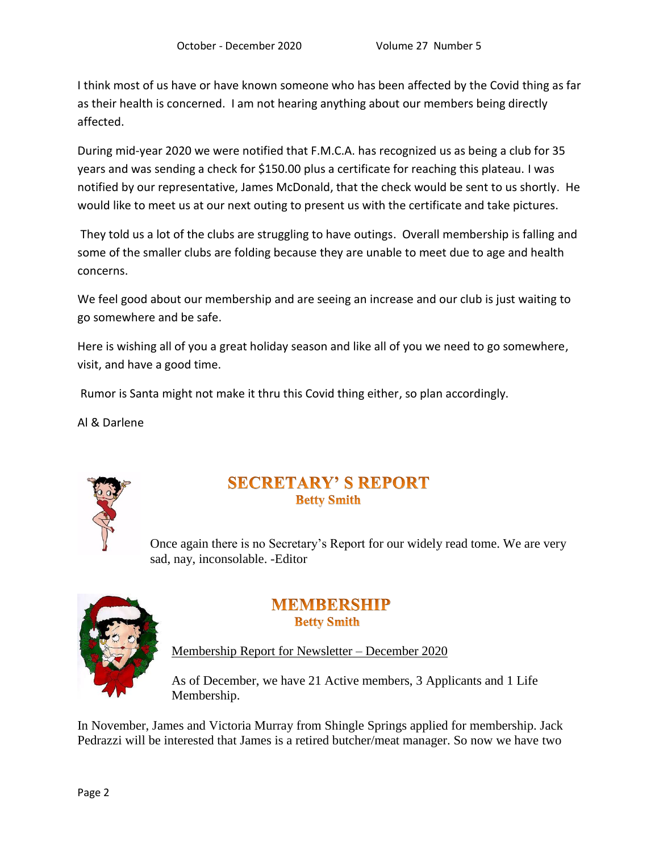I think most of us have or have known someone who has been affected by the Covid thing as far as their health is concerned. I am not hearing anything about our members being directly affected.

During mid-year 2020 we were notified that F.M.C.A. has recognized us as being a club for 35 years and was sending a check for \$150.00 plus a certificate for reaching this plateau. I was notified by our representative, James McDonald, that the check would be sent to us shortly. He would like to meet us at our next outing to present us with the certificate and take pictures.

They told us a lot of the clubs are struggling to have outings. Overall membership is falling and some of the smaller clubs are folding because they are unable to meet due to age and health concerns.

We feel good about our membership and are seeing an increase and our club is just waiting to go somewhere and be safe.

Here is wishing all of you a great holiday season and like all of you we need to go somewhere, visit, and have a good time.

Rumor is Santa might not make it thru this Covid thing either, so plan accordingly.

Al & Darlene



#### **SECRETARY' S REPORT Betty Smith**

Once again there is no Secretary's Report for our widely read tome. We are very sad, nay, inconsolable. -Editor



#### **MEMBERSHIP Betty Smith**

Membership Report for Newsletter – December 2020

As of December, we have 21 Active members, 3 Applicants and 1 Life Membership.

In November, James and Victoria Murray from Shingle Springs applied for membership. Jack Pedrazzi will be interested that James is a retired butcher/meat manager. So now we have two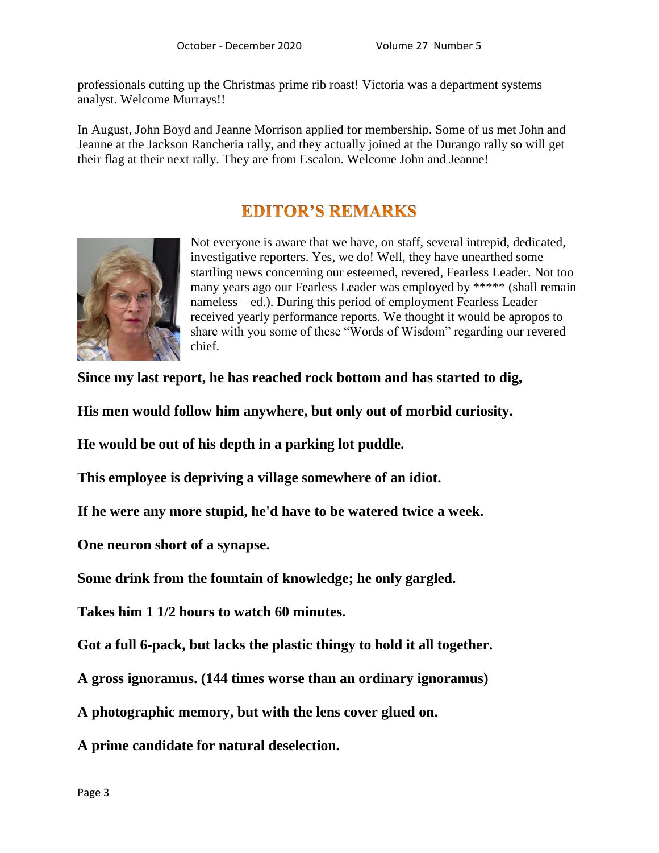professionals cutting up the Christmas prime rib roast! Victoria was a department systems analyst. Welcome Murrays!!

In August, John Boyd and Jeanne Morrison applied for membership. Some of us met John and Jeanne at the Jackson Rancheria rally, and they actually joined at the Durango rally so will get their flag at their next rally. They are from Escalon. Welcome John and Jeanne!

## **EDITOR'S REMARKS**



Not everyone is aware that we have, on staff, several intrepid, dedicated, investigative reporters. Yes, we do! Well, they have unearthed some startling news concerning our esteemed, revered, Fearless Leader. Not too many years ago our Fearless Leader was employed by \*\*\*\*\* (shall remain nameless – ed.). During this period of employment Fearless Leader received yearly performance reports. We thought it would be apropos to share with you some of these "Words of Wisdom" regarding our revered chief.

**Since my last report, he has reached rock bottom and has started to dig,**

**His men would follow him anywhere, but only out of morbid curiosity.**

**He would be out of his depth in a parking lot puddle.**

**This employee is depriving a village somewhere of an idiot.**

**If he were any more stupid, he'd have to be watered twice a week.**

**One neuron short of a synapse.**

**Some drink from the fountain of knowledge; he only gargled.**

**Takes him 1 1/2 hours to watch 60 minutes.**

**Got a full 6-pack, but lacks the plastic thingy to hold it all together.**

**A gross ignoramus. (144 times worse than an ordinary ignoramus)**

**A photographic memory, but with the lens cover glued on.**

**A prime candidate for natural deselection.**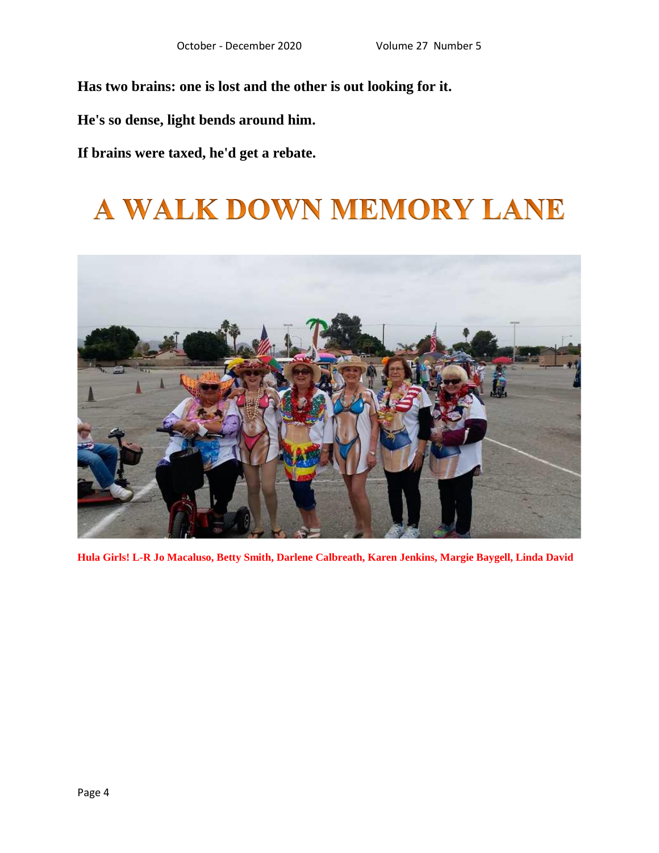**Has two brains: one is lost and the other is out looking for it.**

**He's so dense, light bends around him.**

**If brains were taxed, he'd get a rebate.**

# A WALK DOWN MEMORY LANE



**Hula Girls! L-R Jo Macaluso, Betty Smith, Darlene Calbreath, Karen Jenkins, Margie Baygell, Linda David**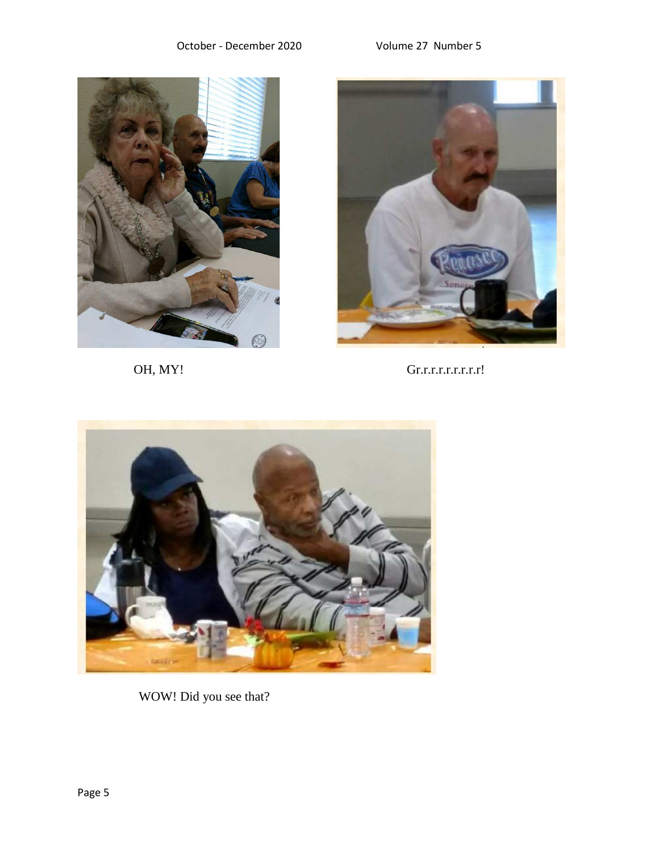



OH, MY! Gr.r.r.r.r.r.r.r.r!



WOW! Did you see that?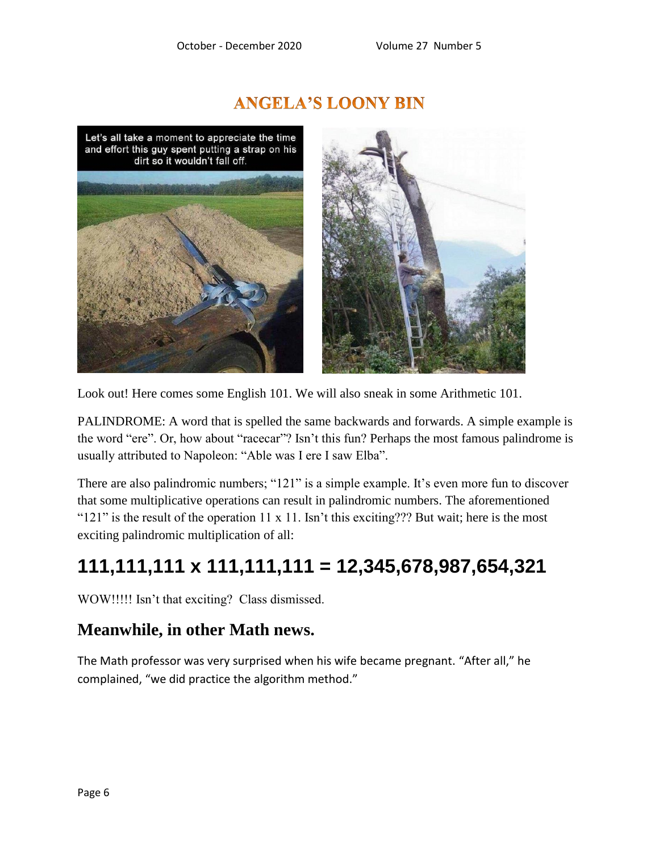# **ANGELA'S LOONY BIN**

Let's all take a moment to appreciate the time and effort this guy spent putting a strap on his dirt so it wouldn't fall off.



Look out! Here comes some English 101. We will also sneak in some Arithmetic 101.

PALINDROME: A word that is spelled the same backwards and forwards. A simple example is the word "ere". Or, how about "racecar"? Isn't this fun? Perhaps the most famous palindrome is usually attributed to Napoleon: "Able was I ere I saw Elba".

There are also palindromic numbers; "121" is a simple example. It's even more fun to discover that some multiplicative operations can result in palindromic numbers. The aforementioned " $121$ " is the result of the operation 11 x 11. Isn't this exciting??? But wait; here is the most exciting palindromic multiplication of all:

# **111,111,111 x 111,111,111 = 12,345,678,987,654,321**

WOW!!!!! Isn't that exciting? Class dismissed.

#### **Meanwhile, in other Math news.**

The Math professor was very surprised when his wife became pregnant. "After all," he complained, "we did practice the algorithm method."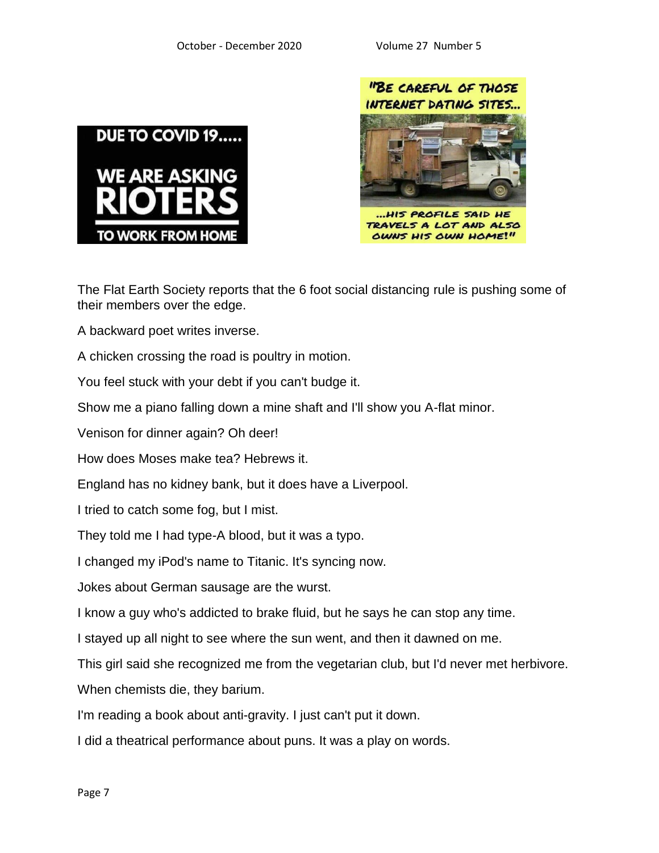



The Flat Earth Society reports that the 6 foot social distancing rule is pushing some of their members over the edge.

A backward poet writes inverse.

A chicken crossing the road is poultry in motion.

You feel stuck with your debt if you can't budge it.

Show me a piano falling down a mine shaft and I'll show you A-flat minor.

Venison for dinner again? Oh deer!

How does Moses make tea? Hebrews it.

England has no kidney bank, but it does have a Liverpool.

I tried to catch some fog, but I mist.

They told me I had type-A blood, but it was a typo.

I changed my iPod's name to Titanic. It's syncing now.

Jokes about German sausage are the wurst.

I know a guy who's addicted to brake fluid, but he says he can stop any time.

I stayed up all night to see where the sun went, and then it dawned on me.

This girl said she recognized me from the vegetarian club, but I'd never met herbivore.

When chemists die, they barium.

I'm reading a book about anti-gravity. I just can't put it down.

I did a theatrical performance about puns. It was a play on words.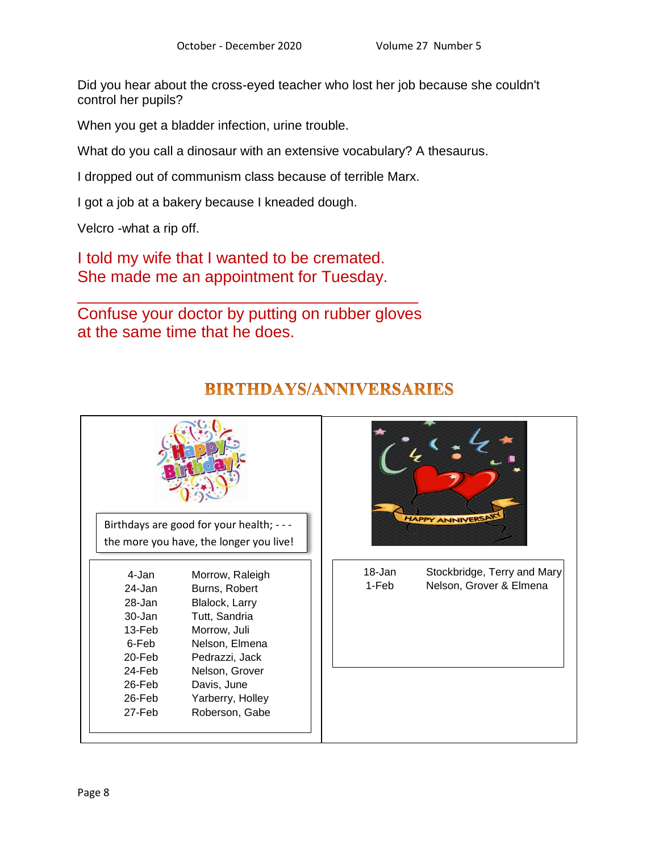Did you hear about the cross-eyed teacher who lost her job because she couldn't control her pupils?

When you get a bladder infection, urine trouble.

What do you call a dinosaur with an extensive vocabulary? A thesaurus.

I dropped out of communism class because of terrible Marx.

I got a job at a bakery because I kneaded dough.

Velcro -what a rip off.

I told my wife that I wanted to be cremated. She made me an appointment for Tuesday.

Confuse your doctor by putting on rubber gloves at the same time that he does.

\_\_\_\_\_\_\_\_\_\_\_\_\_\_\_\_\_\_\_\_\_\_\_\_\_\_\_\_\_\_\_\_\_\_\_\_\_\_



## **BIRTHDAYS/ANNIVERSARIES**



18-Jan Stockbridge, Terry and Mary 1-Feb Nelson, Grover & Elmena